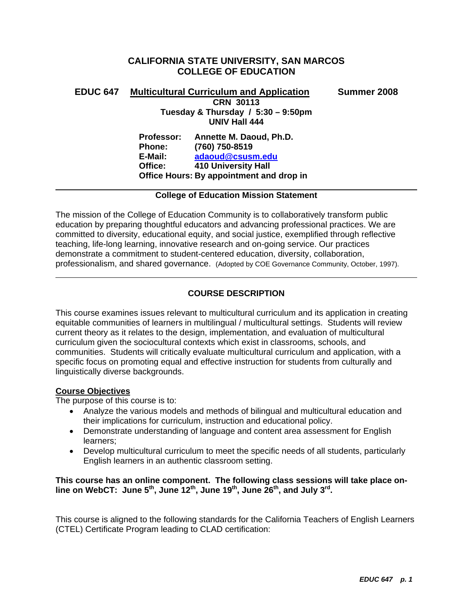# **CALIFORNIA STATE UNIVERSITY, SAN MARCOS COLLEGE OF EDUCATION**

| <b>EDUC 647</b> | <b>Multicultural Curriculum and Application</b><br><b>CRN 30113</b><br>Tuesday & Thursday / 5:30 - 9:50pm |                                          | Summer 2008 |
|-----------------|-----------------------------------------------------------------------------------------------------------|------------------------------------------|-------------|
|                 |                                                                                                           |                                          |             |
|                 |                                                                                                           | <b>UNIV Hall 444</b>                     |             |
|                 | <b>Professor:</b>                                                                                         | Annette M. Daoud, Ph.D.                  |             |
|                 | <b>Phone:</b>                                                                                             | (760) 750-8519                           |             |
|                 | E-Mail:                                                                                                   | adaoud@csusm.edu                         |             |
|                 | Office:                                                                                                   | <b>410 University Hall</b>               |             |
|                 |                                                                                                           | Office Hours: By appointment and drop in |             |
|                 |                                                                                                           |                                          |             |

# **College of Education Mission Statement**

The mission of the College of Education Community is to collaboratively transform public education by preparing thoughtful educators and advancing professional practices. We are committed to diversity, educational equity, and social justice, exemplified through reflective teaching, life-long learning, innovative research and on-going service. Our practices demonstrate a commitment to student-centered education, diversity, collaboration, professionalism, and shared governance. (Adopted by COE Governance Community, October, 1997).

# **COURSE DESCRIPTION**

This course examines issues relevant to multicultural curriculum and its application in creating equitable communities of learners in multilingual / multicultural settings. Students will review current theory as it relates to the design, implementation, and evaluation of multicultural curriculum given the sociocultural contexts which exist in classrooms, schools, and communities. Students will critically evaluate multicultural curriculum and application, with a specific focus on promoting equal and effective instruction for students from culturally and linguistically diverse backgrounds.

# **Course Objectives**

The purpose of this course is to:

- Analyze the various models and methods of bilingual and multicultural education and their implications for curriculum, instruction and educational policy.
- Demonstrate understanding of language and content area assessment for English learners;
- Develop multicultural curriculum to meet the specific needs of all students, particularly English learners in an authentic classroom setting.

# **This course has an online component. The following class sessions will take place online on WebCT: June 5th, June 12th, June 19th, June 26th, and July 3rd.**

This course is aligned to the following standards for the California Teachers of English Learners (CTEL) Certificate Program leading to CLAD certification: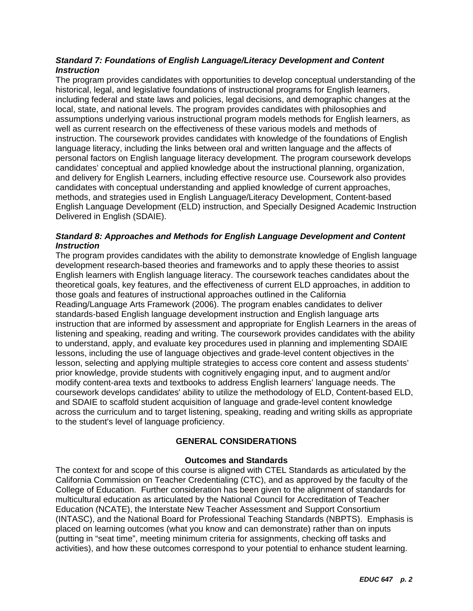# *Standard 7: Foundations of English Language/Literacy Development and Content Instruction*

The program provides candidates with opportunities to develop conceptual understanding of the historical, legal, and legislative foundations of instructional programs for English learners, including federal and state laws and policies, legal decisions, and demographic changes at the local, state, and national levels. The program provides candidates with philosophies and assumptions underlying various instructional program models methods for English learners, as well as current research on the effectiveness of these various models and methods of instruction. The coursework provides candidates with knowledge of the foundations of English language literacy, including the links between oral and written language and the affects of personal factors on English language literacy development. The program coursework develops candidates' conceptual and applied knowledge about the instructional planning, organization, and delivery for English Learners, including effective resource use. Coursework also provides candidates with conceptual understanding and applied knowledge of current approaches, methods, and strategies used in English Language/Literacy Development, Content-based English Language Development (ELD) instruction, and Specially Designed Academic Instruction Delivered in English (SDAIE).

# *Standard 8: Approaches and Methods for English Language Development and Content Instruction*

The program provides candidates with the ability to demonstrate knowledge of English language development research-based theories and frameworks and to apply these theories to assist English learners with English language literacy. The coursework teaches candidates about the theoretical goals, key features, and the effectiveness of current ELD approaches, in addition to those goals and features of instructional approaches outlined in the California Reading/Language Arts Framework (2006). The program enables candidates to deliver standards-based English language development instruction and English language arts instruction that are informed by assessment and appropriate for English Learners in the areas of listening and speaking, reading and writing. The coursework provides candidates with the ability to understand, apply, and evaluate key procedures used in planning and implementing SDAIE lessons, including the use of language objectives and grade-level content objectives in the lesson, selecting and applying multiple strategies to access core content and assess students' prior knowledge, provide students with cognitively engaging input, and to augment and/or modify content-area texts and textbooks to address English learners' language needs. The coursework develops candidates' ability to utilize the methodology of ELD, Content-based ELD, and SDAIE to scaffold student acquisition of language and grade-level content knowledge across the curriculum and to target listening, speaking, reading and writing skills as appropriate to the student's level of language proficiency.

# **GENERAL CONSIDERATIONS**

# **Outcomes and Standards**

The context for and scope of this course is aligned with CTEL Standards as articulated by the California Commission on Teacher Credentialing (CTC), and as approved by the faculty of the College of Education. Further consideration has been given to the alignment of standards for multicultural education as articulated by the National Council for Accreditation of Teacher Education (NCATE), the Interstate New Teacher Assessment and Support Consortium (INTASC), and the National Board for Professional Teaching Standards (NBPTS). Emphasis is placed on learning outcomes (what you know and can demonstrate) rather than on inputs (putting in "seat time", meeting minimum criteria for assignments, checking off tasks and activities), and how these outcomes correspond to your potential to enhance student learning.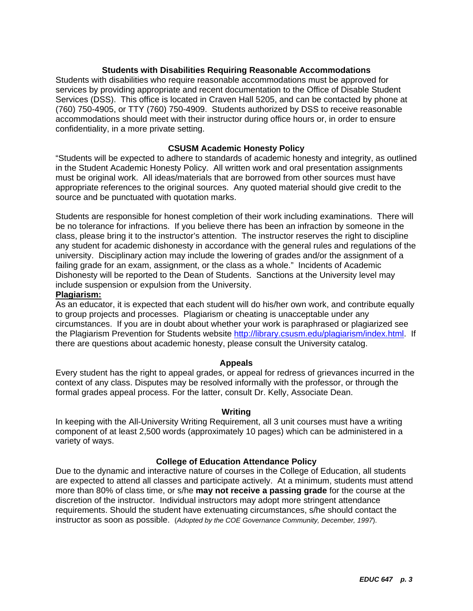# **Students with Disabilities Requiring Reasonable Accommodations**

Students with disabilities who require reasonable accommodations must be approved for services by providing appropriate and recent documentation to the Office of Disable Student Services (DSS). This office is located in Craven Hall 5205, and can be contacted by phone at (760) 750-4905, or TTY (760) 750-4909. Students authorized by DSS to receive reasonable accommodations should meet with their instructor during office hours or, in order to ensure confidentiality, in a more private setting.

# **CSUSM Academic Honesty Policy**

"Students will be expected to adhere to standards of academic honesty and integrity, as outlined in the Student Academic Honesty Policy. All written work and oral presentation assignments must be original work. All ideas/materials that are borrowed from other sources must have appropriate references to the original sources. Any quoted material should give credit to the source and be punctuated with quotation marks.

Students are responsible for honest completion of their work including examinations. There will be no tolerance for infractions. If you believe there has been an infraction by someone in the class, please bring it to the instructor's attention. The instructor reserves the right to discipline any student for academic dishonesty in accordance with the general rules and regulations of the university. Disciplinary action may include the lowering of grades and/or the assignment of a failing grade for an exam, assignment, or the class as a whole." Incidents of Academic Dishonesty will be reported to the Dean of Students. Sanctions at the University level may include suspension or expulsion from the University.

# **Plagiarism:**

As an educator, it is expected that each student will do his/her own work, and contribute equally to group projects and processes. Plagiarism or cheating is unacceptable under any circumstances. If you are in doubt about whether your work is paraphrased or plagiarized see the Plagiarism Prevention for Students website http://library.csusm.edu/plagiarism/index.html. If there are questions about academic honesty, please consult the University catalog.

# **Appeals**

Every student has the right to appeal grades, or appeal for redress of grievances incurred in the context of any class. Disputes may be resolved informally with the professor, or through the formal grades appeal process. For the latter, consult Dr. Kelly, Associate Dean.

# **Writing**

In keeping with the All-University Writing Requirement, all 3 unit courses must have a writing component of at least 2,500 words (approximately 10 pages) which can be administered in a variety of ways.

# **College of Education Attendance Policy**

Due to the dynamic and interactive nature of courses in the College of Education, all students are expected to attend all classes and participate actively. At a minimum, students must attend more than 80% of class time, or s/he **may not receive a passing grade** for the course at the discretion of the instructor. Individual instructors may adopt more stringent attendance requirements. Should the student have extenuating circumstances, s/he should contact the instructor as soon as possible. (*Adopted by the COE Governance Community, December, 1997*).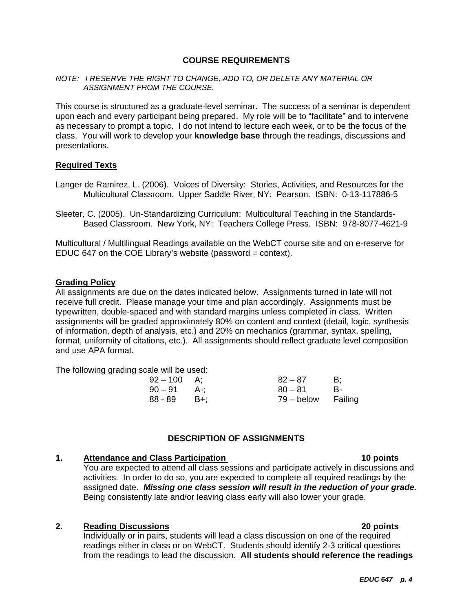# **COURSE REQUIREMENTS**

### *NOTE: I RESERVE THE RIGHT TO CHANGE, ADD TO, OR DELETE ANY MATERIAL OR ASSIGNMENT FROM THE COURSE.*

This course is structured as a graduate-level seminar. The success of a seminar is dependent upon each and every participant being prepared. My role will be to "facilitate" and to intervene as necessary to prompt a topic. I do not intend to lecture each week, or to be the focus of the class. You will work to develop your **knowledge base** through the readings, discussions and presentations.

# **Required Texts**

- Langer de Ramirez, L. (2006). Voices of Diversity: Stories, Activities, and Resources for the Multicultural Classroom. Upper Saddle River, NY: Pearson. ISBN: 0-13-117886-5
- Sleeter, C. (2005). Un-Standardizing Curriculum: Multicultural Teaching in the Standards-Based Classroom. New York, NY: Teachers College Press. ISBN: 978-8077-4621-9

Multicultural / Multilingual Readings available on the WebCT course site and on e-reserve for EDUC 647 on the COE Library's website (password = context).

### **Grading Policy**

All assignments are due on the dates indicated below. Assignments turned in late will not receive full credit. Please manage your time and plan accordingly. Assignments must be typewritten, double-spaced and with standard margins unless completed in class. Written assignments will be graded approximately 80% on content and context (detail, logic, synthesis of information, depth of analysis, etc.) and 20% on mechanics (grammar, syntax, spelling, format, uniformity of citations, etc.). All assignments should reflect graduate level composition and use APA format.

The following grading scale will be used:

| $92 - 100$ A; | $82 - 87$          | - B: |
|---------------|--------------------|------|
| $90 - 91$ A-: | $80 - 81$          | - R- |
| $88 - 89$ B+; | 79 – below Failing |      |

# **DESCRIPTION OF ASSIGNMENTS**

#### **1.** Attendance and Class Participation **10 points** 10 points

You are expected to attend all class sessions and participate actively in discussions and activities. In order to do so, you are expected to complete all required readings by the assigned date. *Missing one class session will result in the reduction of your grade.* Being consistently late and/or leaving class early will also lower your grade.

# **2. Reading Discussions 20 points**

Individually or in pairs, students will lead a class discussion on one of the required readings either in class or on WebCT. Students should identify 2-3 critical questions from the readings to lead the discussion. **All students should reference the readings**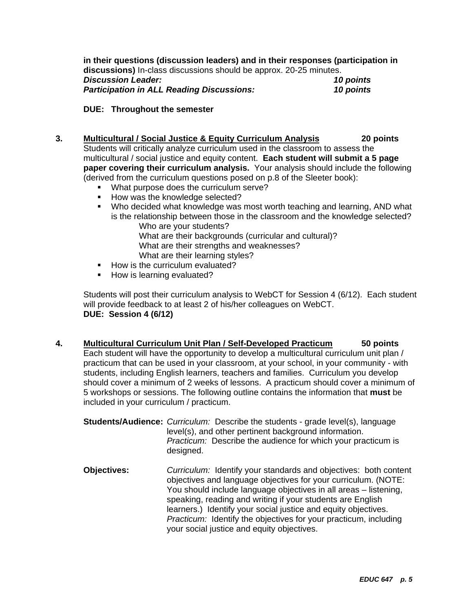**in their questions (discussion leaders) and in their responses (participation in discussions)** In-class discussions should be approx. 20-25 minutes. *Discussion Leader: 10 points Participation in ALL Reading Discussions: 10 points* 

# **DUE: Throughout the semester**

- **3. Multicultural / Social Justice & Equity Curriculum Analysis 20 points**  Students will critically analyze curriculum used in the classroom to assess the multicultural / social justice and equity content. **Each student will submit a 5 page paper covering their curriculum analysis.** Your analysis should include the following (derived from the curriculum questions posed on p.8 of the Sleeter book):
	- **What purpose does the curriculum serve?**
	- How was the knowledge selected?
	- Who decided what knowledge was most worth teaching and learning, AND what is the relationship between those in the classroom and the knowledge selected?

Who are your students? What are their backgrounds (curricular and cultural)? What are their strengths and weaknesses? What are their learning styles?

- How is the curriculum evaluated?
- **How is learning evaluated?**

Students will post their curriculum analysis to WebCT for Session 4 (6/12). Each student will provide feedback to at least 2 of his/her colleagues on WebCT. **DUE: Session 4 (6/12)** 

**4. Multicultural Curriculum Unit Plan / Self-Developed Practicum 50 points** 

Each student will have the opportunity to develop a multicultural curriculum unit plan / practicum that can be used in your classroom, at your school, in your community - with students, including English learners, teachers and families. Curriculum you develop should cover a minimum of 2 weeks of lessons. A practicum should cover a minimum of 5 workshops or sessions. The following outline contains the information that **must** be included in your curriculum / practicum.

**Students/Audience:** *Curriculum:*Describe the students - grade level(s), language level(s), and other pertinent background information. *Practicum:* Describe the audience for which your practicum is designed.

**Objectives:** *Curriculum:* Identify your standards and objectives: both content objectives and language objectives for your curriculum. (NOTE: You should include language objectives in all areas – listening, speaking, reading and writing if your students are English learners.) Identify your social justice and equity objectives. *Practicum:* Identify the objectives for your practicum, including your social justice and equity objectives.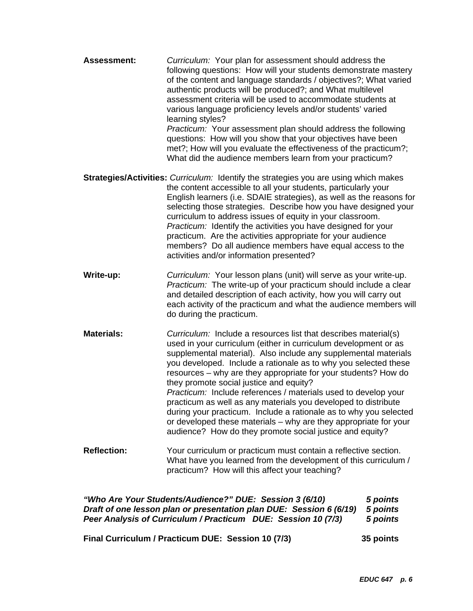| <b>Assessment:</b> | Curriculum: Your plan for assessment should address the<br>following questions: How will your students demonstrate mastery<br>of the content and language standards / objectives?; What varied<br>authentic products will be produced?; and What multilevel<br>assessment criteria will be used to accommodate students at<br>various language proficiency levels and/or students' varied<br>learning styles?<br>Practicum: Your assessment plan should address the following<br>questions: How will you show that your objectives have been<br>met?; How will you evaluate the effectiveness of the practicum?;<br>What did the audience members learn from your practicum?                                                   |
|--------------------|--------------------------------------------------------------------------------------------------------------------------------------------------------------------------------------------------------------------------------------------------------------------------------------------------------------------------------------------------------------------------------------------------------------------------------------------------------------------------------------------------------------------------------------------------------------------------------------------------------------------------------------------------------------------------------------------------------------------------------|
|                    | <b>Strategies/Activities:</b> Curriculum: Identify the strategies you are using which makes                                                                                                                                                                                                                                                                                                                                                                                                                                                                                                                                                                                                                                    |
|                    | the content accessible to all your students, particularly your<br>English learners (i.e. SDAIE strategies), as well as the reasons for<br>selecting those strategies. Describe how you have designed your<br>curriculum to address issues of equity in your classroom.<br>Practicum: Identify the activities you have designed for your<br>practicum. Are the activities appropriate for your audience<br>members? Do all audience members have equal access to the<br>activities and/or information presented?                                                                                                                                                                                                                |
| Write-up:          | Curriculum: Your lesson plans (unit) will serve as your write-up.<br>Practicum: The write-up of your practicum should include a clear<br>and detailed description of each activity, how you will carry out<br>each activity of the practicum and what the audience members will<br>do during the practicum.                                                                                                                                                                                                                                                                                                                                                                                                                    |
| <b>Materials:</b>  | Curriculum: Include a resources list that describes material(s)<br>used in your curriculum (either in curriculum development or as<br>supplemental material). Also include any supplemental materials<br>you developed. Include a rationale as to why you selected these<br>resources – why are they appropriate for your students? How do<br>they promote social justice and equity?<br>Practicum: Include references / materials used to develop your<br>practicum as well as any materials you developed to distribute<br>during your practicum. Include a rationale as to why you selected<br>or developed these materials - why are they appropriate for your<br>audience? How do they promote social justice and equity? |
| <b>Reflection:</b> | Your curriculum or practicum must contain a reflective section.<br>What have you learned from the development of this curriculum /<br>practicum? How will this affect your teaching?                                                                                                                                                                                                                                                                                                                                                                                                                                                                                                                                           |

*"Who Are Your Students/Audience?" DUE: Session 3 (6/10) 5 points Draft of one lesson plan or presentation plan DUE: Session 6 (6/19) 5 points Peer Analysis of Curriculum / Practicum DUE: Session 10 (7/3) 5 points* 

**Final Curriculum / Practicum DUE: Session 10 (7/3) 35 points**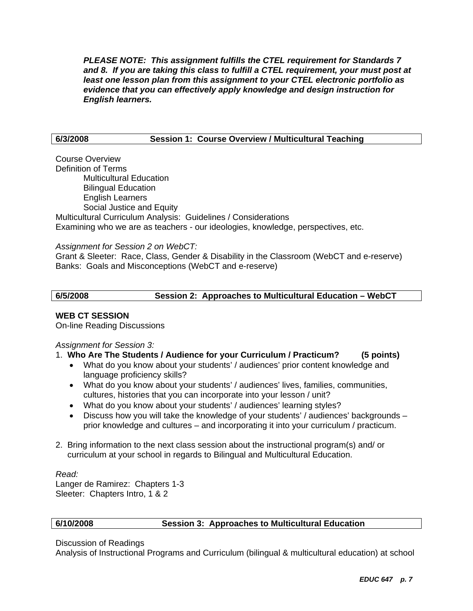*PLEASE NOTE: This assignment fulfills the CTEL requirement for Standards 7 and 8. If you are taking this class to fulfill a CTEL requirement, your must post at least one lesson plan from this assignment to your CTEL electronic portfolio as evidence that you can effectively apply knowledge and design instruction for English learners.* 

# **6/3/2008 Session 1: Course Overview / Multicultural Teaching**

Course Overview Definition of Terms Multicultural Education Bilingual Education English Learners Social Justice and Equity Multicultural Curriculum Analysis: Guidelines / Considerations Examining who we are as teachers - our ideologies, knowledge, perspectives, etc.

*Assignment for Session 2 on WebCT:* 

Grant & Sleeter: Race, Class, Gender & Disability in the Classroom (WebCT and e-reserve) Banks: Goals and Misconceptions (WebCT and e-reserve)

| 6/5/2008 | Session 2: Approaches to Multicultural Education - WebCT |  |
|----------|----------------------------------------------------------|--|
|          |                                                          |  |

# **WEB CT SESSION**

On-line Reading Discussions

*Assignment for Session 3:*

# 1. **Who Are The Students / Audience for your Curriculum / Practicum? (5 points)**

- What do you know about your students' / audiences' prior content knowledge and language proficiency skills?
- What do you know about your students' / audiences' lives, families, communities, cultures, histories that you can incorporate into your lesson / unit?
- What do you know about your students' / audiences' learning styles?
- Discuss how you will take the knowledge of your students' / audiences' backgrounds prior knowledge and cultures – and incorporating it into your curriculum / practicum.
- 2. Bring information to the next class session about the instructional program(s) and/ or curriculum at your school in regards to Bilingual and Multicultural Education.

*Read:*  Langer de Ramirez: Chapters 1-3 Sleeter: Chapters Intro, 1 & 2

# **6/10/2008 Session 3: Approaches to Multicultural Education**

Discussion of Readings

Analysis of Instructional Programs and Curriculum (bilingual & multicultural education) at school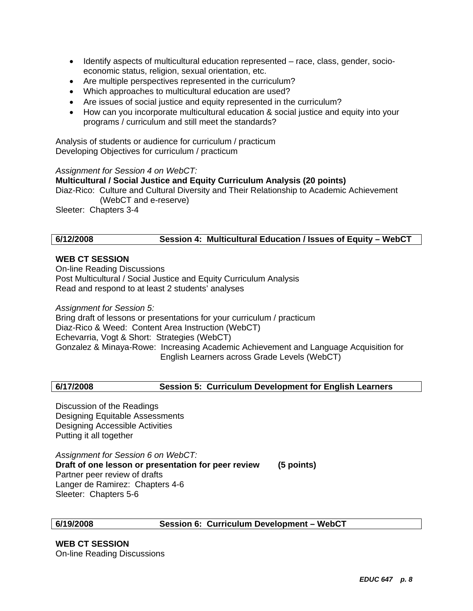- Identify aspects of multicultural education represented race, class, gender, socioeconomic status, religion, sexual orientation, etc.
- Are multiple perspectives represented in the curriculum?
- Which approaches to multicultural education are used?
- Are issues of social justice and equity represented in the curriculum?
- How can you incorporate multicultural education & social justice and equity into your programs / curriculum and still meet the standards?

Analysis of students or audience for curriculum / practicum Developing Objectives for curriculum / practicum

### *Assignment for Session 4 on WebCT:*

### **Multicultural / Social Justice and Equity Curriculum Analysis (20 points)**

Diaz-Rico: Culture and Cultural Diversity and Their Relationship to Academic Achievement (WebCT and e-reserve)

Sleeter: Chapters 3-4

# **6/12/2008 Session 4: Multicultural Education / Issues of Equity – WebCT**

# **WEB CT SESSION**

On-line Reading Discussions Post Multicultural / Social Justice and Equity Curriculum Analysis Read and respond to at least 2 students' analyses

*Assignment for Session 5:*  Bring draft of lessons or presentations for your curriculum / practicum Diaz-Rico & Weed: Content Area Instruction (WebCT) Echevarria, Vogt & Short: Strategies (WebCT) Gonzalez & Minaya-Rowe: Increasing Academic Achievement and Language Acquisition for English Learners across Grade Levels (WebCT)

# **6/17/2008 Session 5: Curriculum Development for English Learners**

Discussion of the Readings Designing Equitable Assessments Designing Accessible Activities Putting it all together

*Assignment for Session 6 on WebCT:*  **Draft of one lesson or presentation for peer review (5 points)**  Partner peer review of drafts Langer de Ramirez: Chapters 4-6 Sleeter: Chapters 5-6

**6/19/2008 Session 6: Curriculum Development – WebCT** 

**WEB CT SESSION**  On-line Reading Discussions